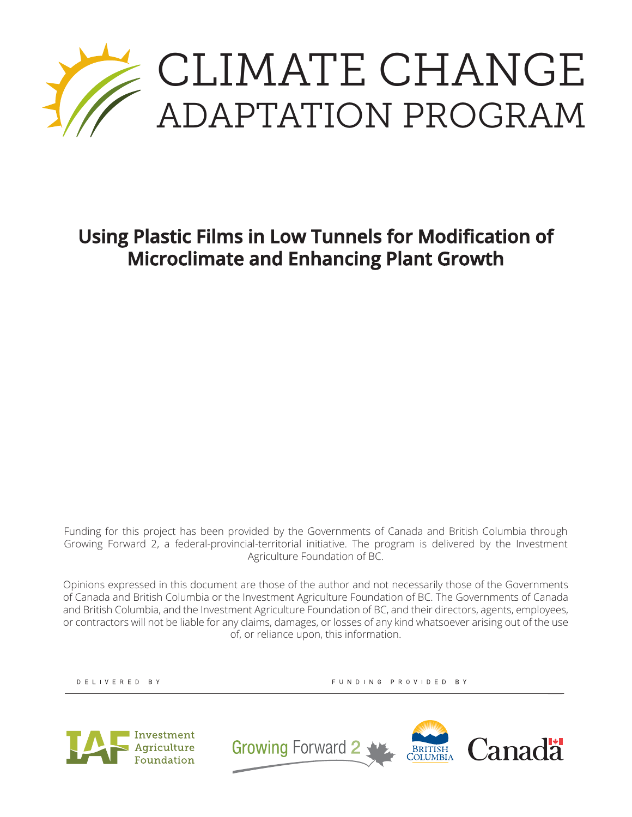

# **Using Plastic Films in Low Tunnels for Modification of Microclimate and Enhancing Plant Growth**

Funding for this project has been provided by the Governments of Canada and British Columbia through Growing Forward 2, a federal-provincial-territorial initiative. The program is delivered by the Investment Agriculture Foundation of BC.

Opinions expressed in this document are those of the author and not necessarily those of the Governments of Canada and British Columbia or the Investment Agriculture Foundation of BC. The Governments of Canada and British Columbia, and the Investment Agriculture Foundation of BC, and their directors, agents, employees, or contractors will not be liable for any claims, damages, or losses of any kind whatsoever arising out of the use of, or reliance upon, this information.

DELIVERED BY

FUNDING PROVIDED BY



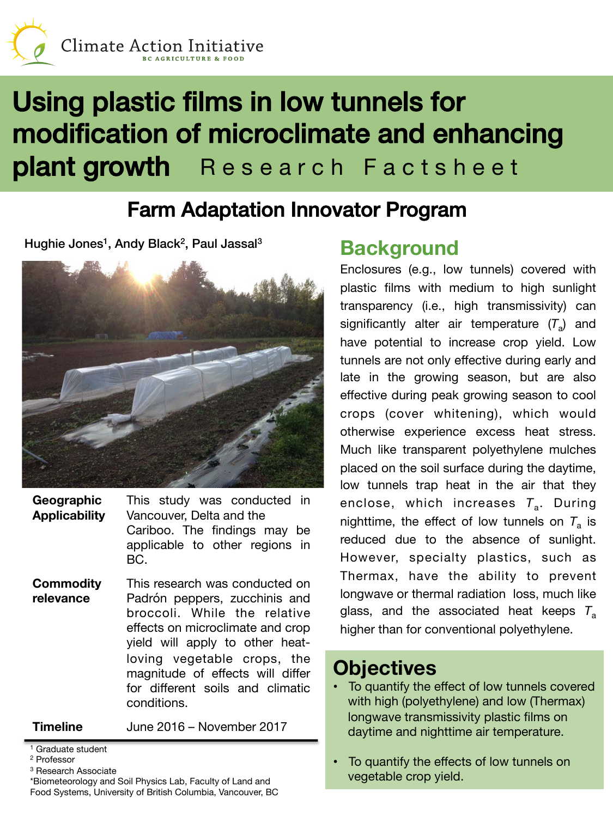

# Using plastic films in low tunnels for modification of microclimate and enhancing plant growth Research Factsheet

# Farm Adaptation Innovator Program!

Hughie Jones<sup>1</sup>, Andy Black<sup>2</sup>, Paul Jassal<sup>3</sup>



**Geographic Applicability** This study was conducted in Vancouver, Delta and the Cariboo. The findings may be applicable to other regions in BC.

**Commodity relevance** This research was conducted on Padrón peppers, zucchinis and broccoli. While the relative effects on microclimate and crop yield will apply to other heatloving vegetable crops, the magnitude of effects will differ for different soils and climatic conditions.

**Timeline** June 2016 – November 2017

Graduate student

### **Background**

Enclosures (e.g., low tunnels) covered with plastic films with medium to high sunlight transparency (i.e., high transmissivity) can significantly alter air temperature  $(T_a)$  and have potential to increase crop yield. Low tunnels are not only effective during early and late in the growing season, but are also effective during peak growing season to cool crops (cover whitening), which would otherwise experience excess heat stress. Much like transparent polyethylene mulches placed on the soil surface during the daytime, low tunnels trap heat in the air that they enclose, which increases T<sub>a</sub>. During nighttime, the effect of low tunnels on  $T_a$  is reduced due to the absence of sunlight. However, specialty plastics, such as Thermax, have the ability to prevent longwave or thermal radiation loss, much like glass, and the associated heat keeps *T*<sup>a</sup> higher than for conventional polyethylene.

### **Objectives**

- To quantify the effect of low tunnels covered with high (polyethylene) and low (Thermax) longwave transmissivity plastic films on daytime and nighttime air temperature.
- To quantify the effects of low tunnels on vegetable crop yield.

<sup>2</sup> Professor

<sup>3</sup> Research Associate

<sup>\*</sup>Biometeorology and Soil Physics Lab, Faculty of Land and Food Systems, University of British Columbia, Vancouver, BC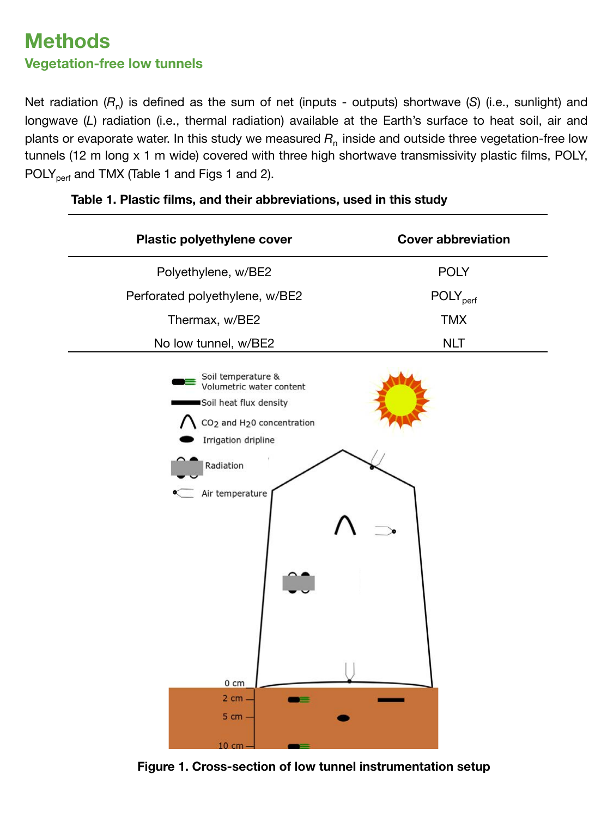### **Methods Vegetation-free low tunnels**

Net radiation ( $R_n$ ) is defined as the sum of net (inputs - outputs) shortwave (S) (i.e., sunlight) and longwave (L) radiation (i.e., thermal radiation) available at the Earth's surface to heat soil, air and plants or evaporate water. In this study we measured  $R_n$  inside and outside three vegetation-free low tunnels (12 m long x 1 m wide) covered with three high shortwave transmissivity plastic films, POLY, POLY<sub>perf</sub> and TMX (Table 1 and Figs 1 and 2).

| Plastic polyethylene cover                                                                                                                                                                                                                    | <b>Cover abbreviation</b>   |
|-----------------------------------------------------------------------------------------------------------------------------------------------------------------------------------------------------------------------------------------------|-----------------------------|
| Polyethylene, w/BE2                                                                                                                                                                                                                           | <b>POLY</b>                 |
| Perforated polyethylene, w/BE2                                                                                                                                                                                                                | <b>POLY</b> <sub>perf</sub> |
| Thermax, w/BE2                                                                                                                                                                                                                                | <b>TMX</b>                  |
| No low tunnel, w/BE2                                                                                                                                                                                                                          | <b>NLT</b>                  |
| Soil temperature &<br>Volumetric water content<br>Soil heat flux density<br>CO <sub>2</sub> and H <sub>2</sub> 0 concentration<br>Irrigation dripline<br>Radiation<br>Air temperature<br>$0 \text{ cm}$<br>2 cm -<br>⊨<br>$5 cm -$<br>10 cm - |                             |

#### **Table 1. Plastic films, and their abbreviations, used in this study**

**Figure 1. Cross-section of low tunnel instrumentation setup**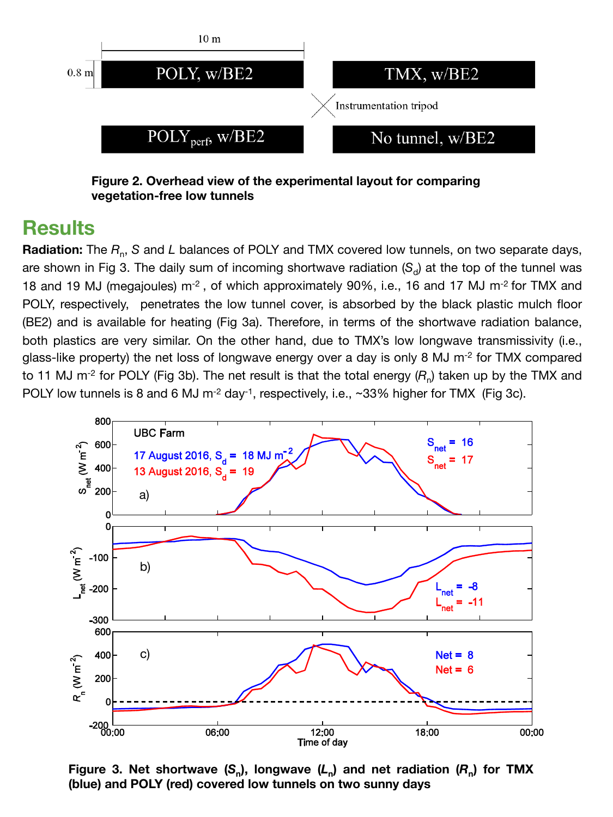

**Figure 2. Overhead view of the experimental layout for comparing vegetation-free low tunnels**

### **Results**

**Radiation:** The *R*n, *S* and *L* balances of POLY and TMX covered low tunnels, on two separate days, are shown in Fig 3. The daily sum of incoming shortwave radiation  $(S_d)$  at the top of the tunnel was 18 and 19 MJ (megajoules) m<sup>-2</sup>, of which approximately 90%, i.e., 16 and 17 MJ m<sup>-2</sup> for TMX and POLY, respectively, penetrates the low tunnel cover, is absorbed by the black plastic mulch floor (BE2) and is available for heating (Fig 3a). Therefore, in terms of the shortwave radiation balance, both plastics are very similar. On the other hand, due to TMX's low longwave transmissivity (i.e., glass-like property) the net loss of longwave energy over a day is only 8 MJ  $\mathrm{m}^2$  for TMX compared to 11 MJ m<sup>-2</sup> for POLY (Fig 3b). The net result is that the total energy  $(R_n)$  taken up by the TMX and POLY low tunnels is 8 and 6 MJ m<sup>-2</sup> day<sup>-1</sup>, respectively, i.e., ~33% higher for TMX (Fig 3c).



**Figure 3. Net shortwave**  $(S_n)$ **, longwave**  $(L_n)$  **and net radiation**  $(R_n)$  **for TMX (blue) and POLY (red) covered low tunnels on two sunny days**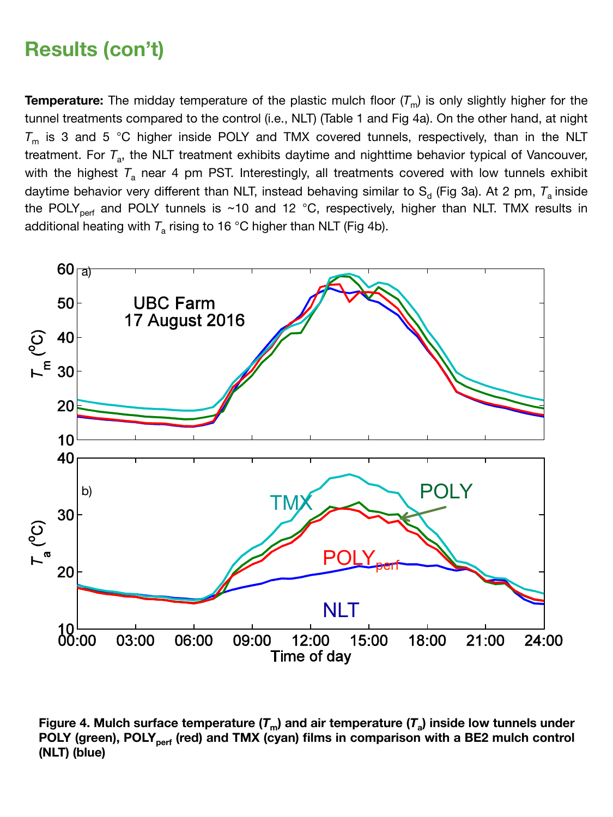## **Results (con't)**

**Temperature:** The midday temperature of the plastic mulch floor  $(T_m)$  is only slightly higher for the tunnel treatments compared to the control (i.e., NLT) (Table 1 and Fig 4a). On the other hand, at night  $T_m$  is 3 and 5 °C higher inside POLY and TMX covered tunnels, respectively, than in the NLT treatment. For T<sub>a</sub>, the NLT treatment exhibits daytime and nighttime behavior typical of Vancouver, with the highest  $T_a$  near 4 pm PST. Interestingly, all treatments covered with low tunnels exhibit daytime behavior very different than NLT, instead behaving similar to  $S_d$  (Fig 3a). At 2 pm,  $T_a$  inside the POLY<sub>perf</sub> and POLY tunnels is ~10 and 12 °C, respectively, higher than NLT. TMX results in additional heating with  $T_a$  rising to 16 °C higher than NLT (Fig 4b).



**Figure 4. Mulch surface temperature**  $(T_m)$  **and air temperature**  $(T_a)$  **inside low tunnels under** POLY (green), POLY<sub>perf</sub> (red) and TMX (cyan) films in comparison with a BE2 mulch control **(NLT) (blue)**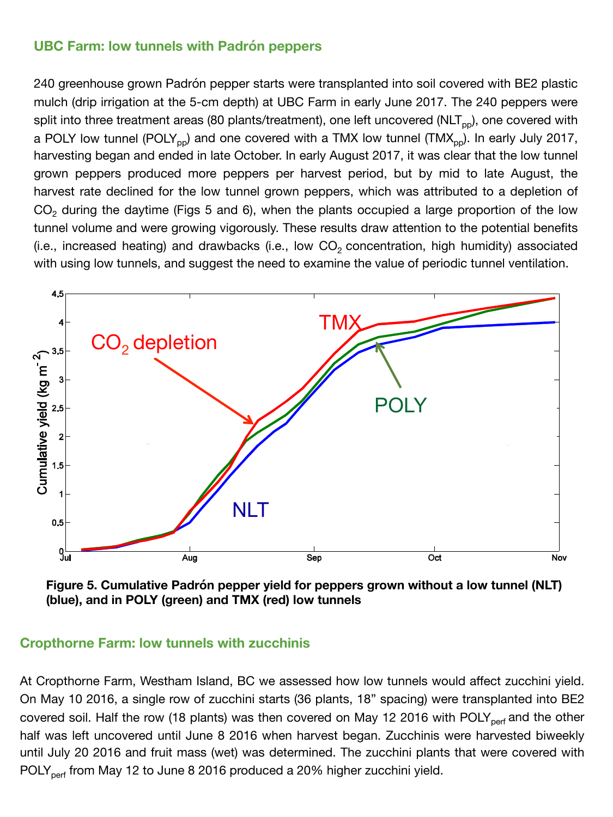#### **UBC Farm: low tunnels with Padrón peppers**

240 greenhouse grown Padrón pepper starts were transplanted into soil covered with BE2 plastic mulch (drip irrigation at the 5-cm depth) at UBC Farm in early June 2017. The 240 peppers were split into three treatment areas (80 plants/treatment), one left uncovered (NLT<sub>pp</sub>), one covered with a POLY low tunnel (POLY<sub>pp</sub>) and one covered with a TMX low tunnel (TMX<sub>pp</sub>). In early July 2017, harvesting began and ended in late October. In early August 2017, it was clear that the low tunnel grown peppers produced more peppers per harvest period, but by mid to late August, the harvest rate declined for the low tunnel grown peppers, which was attributed to a depletion of  $CO<sub>2</sub>$  during the daytime (Figs 5 and 6), when the plants occupied a large proportion of the low tunnel volume and were growing vigorously. These results draw attention to the potential benefits (i.e., increased heating) and drawbacks (i.e., low  $CO<sub>2</sub>$  concentration, high humidity) associated with using low tunnels, and suggest the need to examine the value of periodic tunnel ventilation.



**Figure 5. Cumulative Padrón pepper yield for peppers grown without a low tunnel (NLT) (blue), and in POLY (green) and TMX (red) low tunnels**

#### **Cropthorne Farm: low tunnels with zucchinis**

At Cropthorne Farm, Westham Island, BC we assessed how low tunnels would affect zucchini yield. On May 10 2016, a single row of zucchini starts (36 plants, 18" spacing) were transplanted into BE2 covered soil. Half the row (18 plants) was then covered on May 12 2016 with POLY<sub>perf</sub> and the other half was left uncovered until June 8 2016 when harvest began. Zucchinis were harvested biweekly until July 20 2016 and fruit mass (wet) was determined. The zucchini plants that were covered with POLY<sub>perf</sub> from May 12 to June 8 2016 produced a 20% higher zucchini yield.